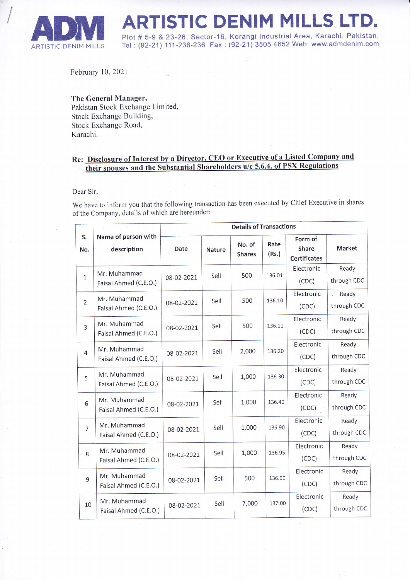

 $\sqrt{\frac{1}{2}}$ 

RTISTIC DENIM MILLS LTD.

Plot # 5-9 & 23-26, Sector-16, Korangi lndustrial Area, Karachi, Pakistan. Tel : (92-21) 111-236-236 Fax : (92-21) 3505 4652 Web: www.admdenim.com

February 10.2021

## The General Manager, Pakistan Stock Exchange Limited, Stock Exchange Building, Stock Exchange Road, Karachi.

## Re: Disclosure of Interest by a Director, CEO or Executive of a Listed Company and <u>their spouses and the Substantial Shareholders u/c 5.6.4. of PSX Regulations</u>

## Dear Sir,

We have to inform you that the following transaction has been executed by Chief Executive in shares of the Company, details of which are hereunder:

|                |                                       | <b>Details of Transactions</b> |               |                         |               |                                         |                      |
|----------------|---------------------------------------|--------------------------------|---------------|-------------------------|---------------|-----------------------------------------|----------------------|
| S.<br>No.      | Name of person with<br>description    | Date                           | <b>Nature</b> | No. of<br><b>Shares</b> | Rate<br>(Rs.) | Form of<br>Share<br><b>Certificates</b> | <b>Market</b>        |
| $\mathbf{1}$   | Mr. Muhammad<br>Faisal Ahmed (C.E.O.) | 08-02-2021                     | Sell          | 500                     | 136.01        | Electronic<br>(CDC)                     | Ready<br>through CDC |
| $\overline{2}$ | Mr. Muhammad<br>Faisal Ahmed (C.E.O.) | 08-02-2021                     | Sell          | 500                     | 136.10        | Electronic<br>(CDC)                     | Ready<br>through CDC |
| $\overline{3}$ | Mr. Muhammad<br>Faisal Ahmed (C.E.O.) | 08-02-2021                     | Sell          | 500                     | 136.11        | Electronic<br>(CDC)                     | Ready<br>through CDC |
| $\overline{4}$ | Mr. Muhammad<br>Faisal Ahmed (C.E.O.) | 08-02-2021                     | Sell          | 2,000                   | 136.20        | Electronic<br>(CDC)                     | Ready<br>through CDC |
| 5              | Mr. Muhammad<br>Faisal Ahmed (C.E.O.) | 08-02-2021                     | Sell          | 1,000                   | 136.30        | Electronic<br>(CDC)                     | Ready<br>through CDC |
| 6              | Mr. Muhammad<br>Faisal Ahmed (C.E.O.) | 08-02-2021                     | Sell          | 1,000                   | 136.40        | Electronic<br>(CDC)                     | Ready<br>through CDC |
| $\overline{7}$ | Mr. Muhammad<br>Faisal Ahmed (C.E.O.) | 08-02-2021                     | Sell          | 1,000                   | 136.90        | Electronic<br>(CDC)                     | Ready<br>through CDC |
| 8              | Mr. Muhammad<br>Faisal Ahmed (C.E.O.) | 08-02-2021                     | Sell          | 1,000                   | 136.95        | Electronic<br>(CDC)                     | Ready<br>through CDC |
| 9              | Mr. Muhammad<br>Faisal Ahmed (C.E.O.) | 08-02-2021                     | Sell          | 500                     | 136.99        | Electronic<br>(CDC)                     | Ready<br>through CDC |
| 10             | Mr. Muhammad<br>Faisal Ahmed (C.E.O.) | 08-02-2021                     | Sell          | 7,000                   | 137.00        | Electronic<br>(CDC)                     | Ready<br>through CDC |